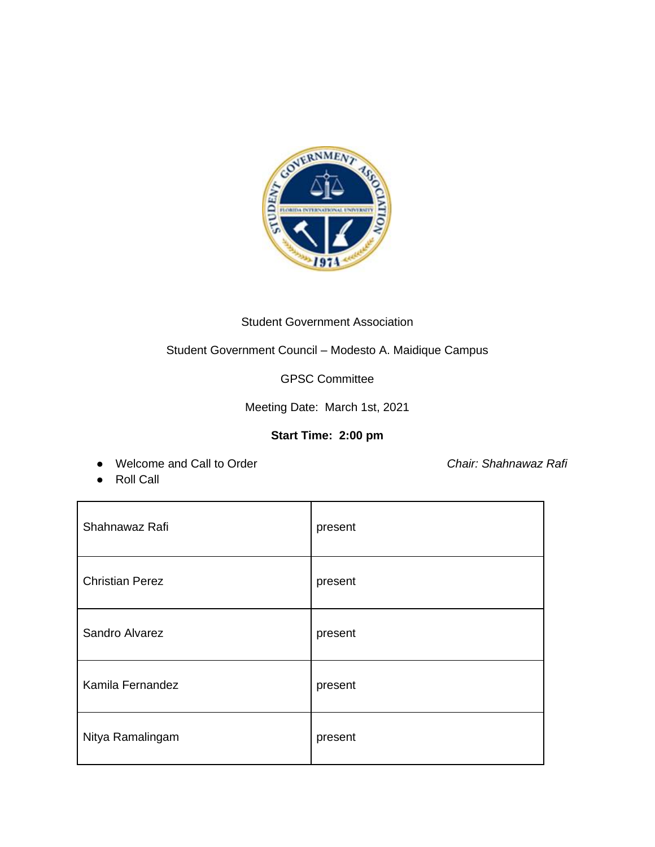

## Student Government Association

Student Government Council – Modesto A. Maidique Campus

GPSC Committee

Meeting Date: March 1st, 2021

## **Start Time: 2:00 pm**

● Welcome and Call to Order *Chair: Shahnawaz Rafi*

● Roll Call

| Shahnawaz Rafi         | present |
|------------------------|---------|
| <b>Christian Perez</b> | present |
| Sandro Alvarez         | present |
| Kamila Fernandez       | present |
| Nitya Ramalingam       | present |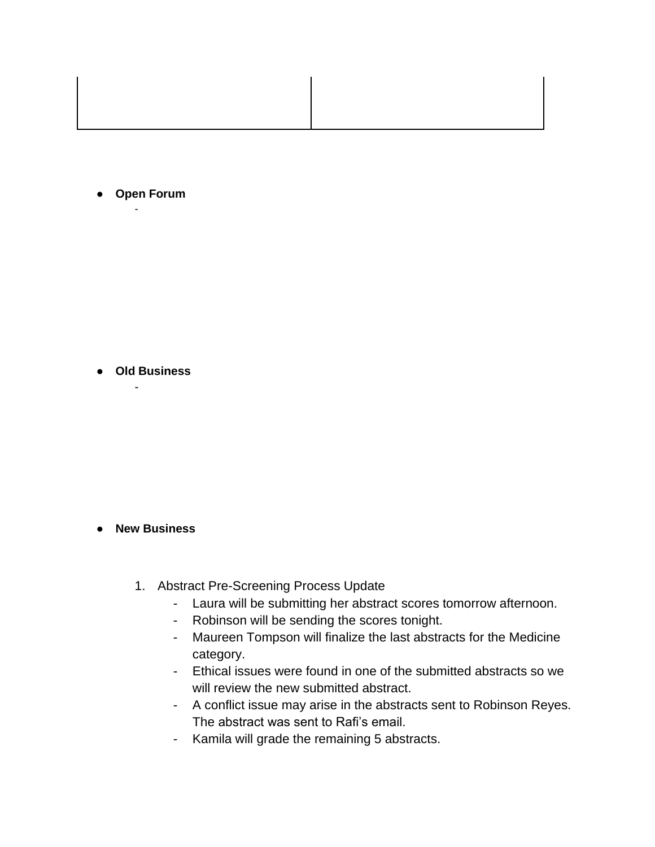- **Open Forum** -
	-

● **Old Business** 

-

## ● **New Business**

- 1. Abstract Pre-Screening Process Update
	- Laura will be submitting her abstract scores tomorrow afternoon.
	- Robinson will be sending the scores tonight.
	- Maureen Tompson will finalize the last abstracts for the Medicine category.
	- Ethical issues were found in one of the submitted abstracts so we will review the new submitted abstract.
	- A conflict issue may arise in the abstracts sent to Robinson Reyes. The abstract was sent to Rafi's email.
	- Kamila will grade the remaining 5 abstracts.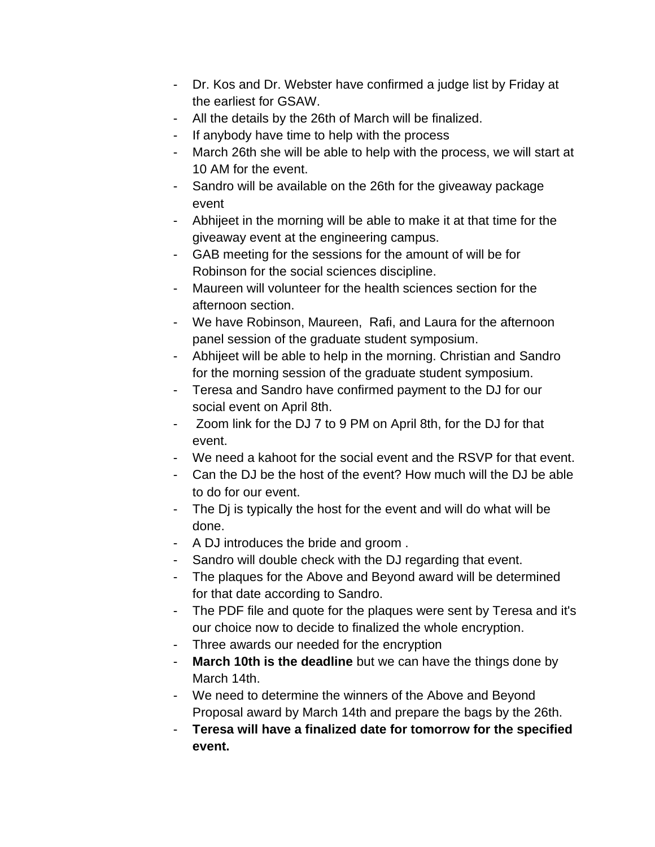- Dr. Kos and Dr. Webster have confirmed a judge list by Friday at the earliest for GSAW.
- All the details by the 26th of March will be finalized.
- If anybody have time to help with the process
- March 26th she will be able to help with the process, we will start at 10 AM for the event.
- Sandro will be available on the 26th for the giveaway package event
- Abhijeet in the morning will be able to make it at that time for the giveaway event at the engineering campus.
- GAB meeting for the sessions for the amount of will be for Robinson for the social sciences discipline.
- Maureen will volunteer for the health sciences section for the afternoon section.
- We have Robinson, Maureen, Rafi, and Laura for the afternoon panel session of the graduate student symposium.
- Abhijeet will be able to help in the morning. Christian and Sandro for the morning session of the graduate student symposium.
- Teresa and Sandro have confirmed payment to the DJ for our social event on April 8th.
- Zoom link for the DJ 7 to 9 PM on April 8th, for the DJ for that event.
- We need a kahoot for the social event and the RSVP for that event.
- Can the DJ be the host of the event? How much will the DJ be able to do for our event.
- The Dj is typically the host for the event and will do what will be done.
- A DJ introduces the bride and groom .
- Sandro will double check with the DJ regarding that event.
- The plaques for the Above and Beyond award will be determined for that date according to Sandro.
- The PDF file and quote for the plaques were sent by Teresa and it's our choice now to decide to finalized the whole encryption.
- Three awards our needed for the encryption
- **March 10th is the deadline** but we can have the things done by March 14th.
- We need to determine the winners of the Above and Beyond Proposal award by March 14th and prepare the bags by the 26th.
- **Teresa will have a finalized date for tomorrow for the specified event.**